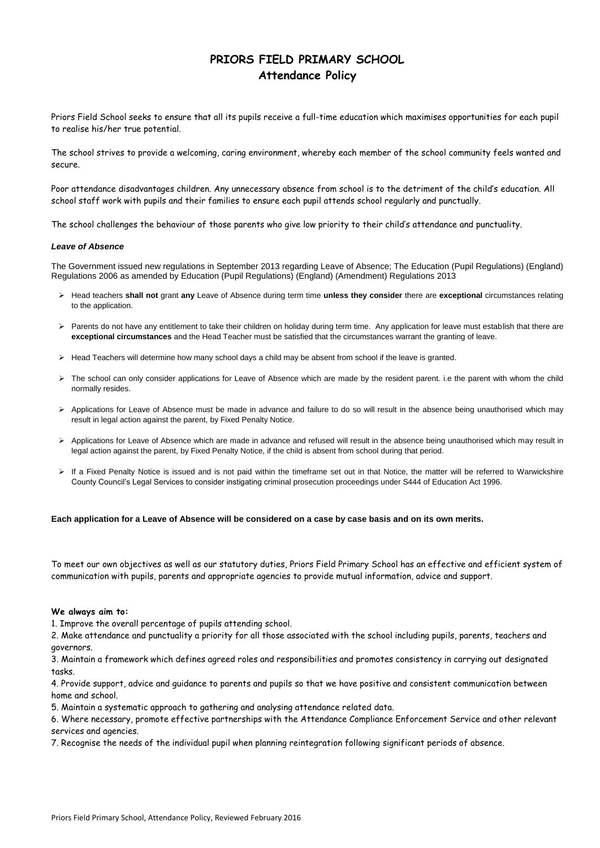Priors Field Primary School, Attendance Policy, Reviewed February 2016

# **PRIORS FIELD PRIMARY SCHOOL Attendance Policy**

Priors Field School seeks to ensure that all its pupils receive a full-time education which maximises opportunities for each pupil to realise his/her true potential.

The school strives to provide a welcoming, caring environment, whereby each member of the school community feels wanted and secure.

Poor attendance disadvantages children. Any unnecessary absence from school is to the detriment of the child's education. All school staff work with pupils and their families to ensure each pupil attends school regularly and punctually.

The school challenges the behaviour of those parents who give low priority to their child's attendance and punctuality.

### *Leave of Absence*

The Government issued new regulations in September 2013 regarding Leave of Absence; The Education (Pupil Regulations) (England) Regulations 2006 as amended by Education (Pupil Regulations) (England) (Amendment) Regulations 2013

- Head teachers **shall not** grant **any** Leave of Absence during term time **unless they consider** there are **exceptional** circumstances relating to the application.
- > Parents do not have any entitlement to take their children on holiday during term time. Any application for leave must establish that there are **exceptional circumstances** and the Head Teacher must be satisfied that the circumstances warrant the granting of leave.
- Head Teachers will determine how many school days a child may be absent from school if the leave is granted.
- > The school can only consider applications for Leave of Absence which are made by the resident parent. i.e the parent with whom the child normally resides.
- Applications for Leave of Absence must be made in advance and failure to do so will result in the absence being unauthorised which may result in legal action against the parent, by Fixed Penalty Notice.
- Applications for Leave of Absence which are made in advance and refused will result in the absence being unauthorised which may result in legal action against the parent, by Fixed Penalty Notice, if the child is absent from school during that period.
- > If a Fixed Penalty Notice is issued and is not paid within the timeframe set out in that Notice, the matter will be referred to Warwickshire County Council's Legal Services to consider instigating criminal prosecution proceedings under S444 of Education Act 1996.

**Each application for a Leave of Absence will be considered on a case by case basis and on its own merits.**

To meet our own objectives as well as our statutory duties, Priors Field Primary School has an effective and efficient system of communication with pupils, parents and appropriate agencies to provide mutual information, advice and support.

### **We always aim to:**

- 1. Improve the overall percentage of pupils attending school.
- 2. Make attendance and punctuality a priority for all those associated with the school including pupils, parents, teachers and

governors.

3. Maintain a framework which defines agreed roles and responsibilities and promotes consistency in carrying out designated tasks.

4. Provide support, advice and guidance to parents and pupils so that we have positive and consistent communication between home and school.

5. Maintain a systematic approach to gathering and analysing attendance related data.

6. Where necessary, promote effective partnerships with the Attendance Compliance Enforcement Service and other relevant services and agencies.

7. Recognise the needs of the individual pupil when planning reintegration following significant periods of absence.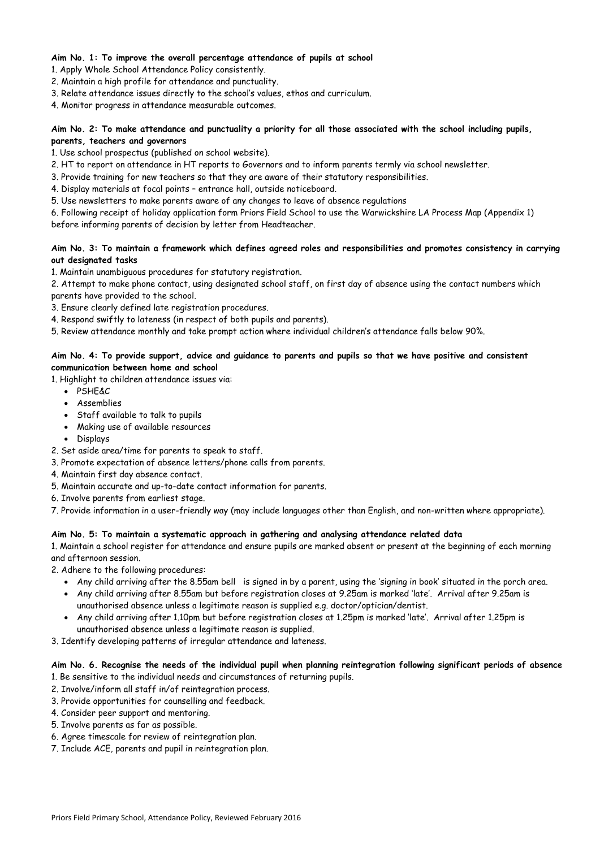Priors Field Primary School, Attendance Policy, Reviewed February 2016

# **Aim No. 1: To improve the overall percentage attendance of pupils at school**

1. Apply Whole School Attendance Policy consistently.

- 2. Maintain a high profile for attendance and punctuality.
- 3. Relate attendance issues directly to the school's values, ethos and curriculum.

4. Monitor progress in attendance measurable outcomes.

# **Aim No. 2: To make attendance and punctuality a priority for all those associated with the school including pupils, parents, teachers and governors**

1. Use school prospectus (published on school website).

- 2. HT to report on attendance in HT reports to Governors and to inform parents termly via school newsletter.
- 3. Provide training for new teachers so that they are aware of their statutory responsibilities.
- 4. Display materials at focal points entrance hall, outside noticeboard.
- 5. Use newsletters to make parents aware of any changes to leave of absence regulations
- 6. Following receipt of holiday application form Priors Field School to use the Warwickshire LA Process Map (Appendix 1) before informing parents of decision by letter from Headteacher.

# **Aim No. 3: To maintain a framework which defines agreed roles and responsibilities and promotes consistency in carrying out designated tasks**

- PSHE&C
- Assemblies
- Staff available to talk to pupils
- Making use of available resources
- Displays
- 2. Set aside area/time for parents to speak to staff.
- 3. Promote expectation of absence letters/phone calls from parents.
- 4. Maintain first day absence contact.
- 5. Maintain accurate and up-to-date contact information for parents.
- 6. Involve parents from earliest stage.
- 7. Provide information in a user-friendly way (may include languages other than English, and non-written where appropriate).

1. Maintain unambiguous procedures for statutory registration.

2. Attempt to make phone contact, using designated school staff, on first day of absence using the contact numbers which parents have provided to the school.

- 3. Ensure clearly defined late registration procedures.
- 4. Respond swiftly to lateness (in respect of both pupils and parents).
- 5. Review attendance monthly and take prompt action where individual children's attendance falls below 90%.

# **Aim No. 4: To provide support, advice and guidance to parents and pupils so that we have positive and consistent communication between home and school**

1. Highlight to children attendance issues via:

## **Aim No. 5: To maintain a systematic approach in gathering and analysing attendance related data**

1. Maintain a school register for attendance and ensure pupils are marked absent or present at the beginning of each morning and afternoon session.

2. Adhere to the following procedures:

- Any child arriving after the 8.55am bell is signed in by a parent, using the 'signing in book' situated in the porch area.
- Any child arriving after 8.55am but before registration closes at 9.25am is marked 'late'. Arrival after 9.25am is unauthorised absence unless a legitimate reason is supplied e.g. doctor/optician/dentist.
- Any child arriving after 1.10pm but before registration closes at 1.25pm is marked 'late'. Arrival after 1.25pm is unauthorised absence unless a legitimate reason is supplied.
- 

3. Identify developing patterns of irregular attendance and lateness.

**Aim No. 6. Recognise the needs of the individual pupil when planning reintegration following significant periods of absence**  1. Be sensitive to the individual needs and circumstances of returning pupils.

2. Involve/inform all staff in/of reintegration process.

3. Provide opportunities for counselling and feedback.

4. Consider peer support and mentoring.

5. Involve parents as far as possible.

6. Agree timescale for review of reintegration plan.

7. Include ACE, parents and pupil in reintegration plan.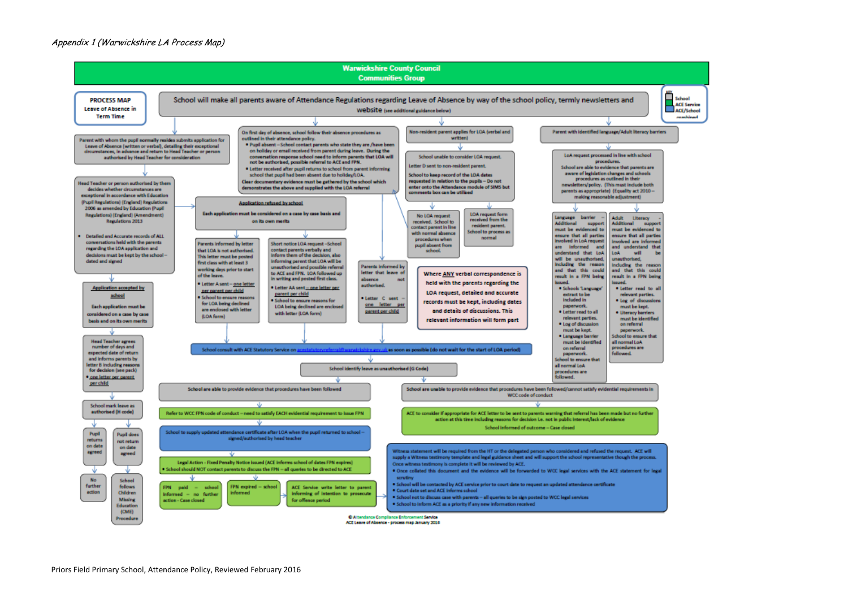### Appendix 1 (Warwickshire LA Process Map)